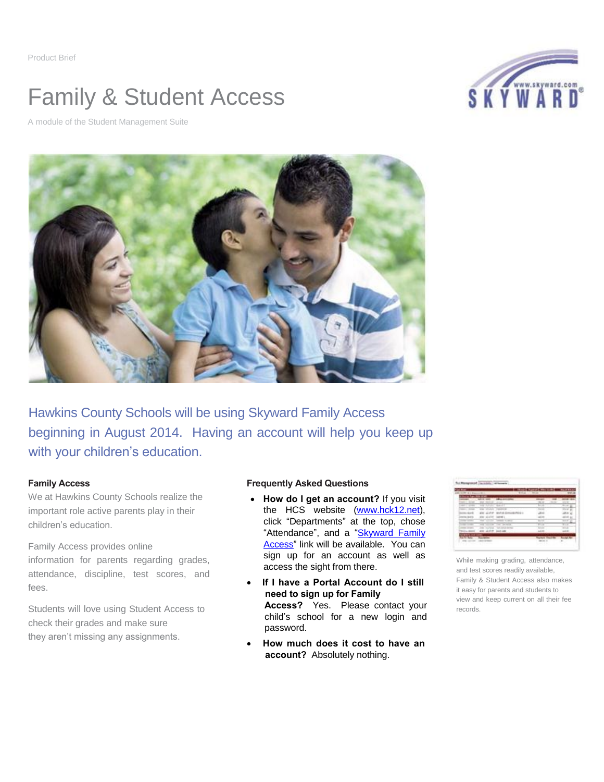Product Brief

## Family & Student Access

SKYWARD

A module of the Student Management Suite



Hawkins County Schools will be using Skyward Family Access beginning in August 2014. Having an account will help you keep up with your children's education.

## **Family Access**

We at Hawkins County Schools realize the important role active parents play in their children's education.

Family Access provides online information for parents regarding grades, attendance, discipline, test scores, and fees.

Students will love using Student Access to check their grades and make sure they aren't missing any assignments.

## **Frequently Asked Questions**

- **How do I get an account?** If you visit the HCS website [\(www.hck12.net\)](http://www.hck12.net/), click "Departments" at the top, chose "Attendance", and a "Skyward Family [Access"](http://www.hck12.net/?PN=Pages&SubP=Level1Page&L=2&DivisionID=15559&DepartmentID=16449&PageID=24224&ToggleSideNav=) link will be available. You can sign up for an account as well as access the sight from there.
- **If I have a Portal Account do I still need to sign up for Family Access?** Yes. Please contact your child's school for a new login and password.
- **How much does it cost to have an account?** Absolutely nothing.

| $18 - 0.1$ |         |                             | ۰        |                   |                 |
|------------|---------|-----------------------------|----------|-------------------|-----------------|
|            | ---     |                             |          |                   |                 |
|            |         | <b>Windows</b>              |          | <b>STATISTICS</b> |                 |
|            |         |                             |          |                   |                 |
|            |         |                             |          |                   |                 |
|            |         |                             |          |                   |                 |
|            | 42,4740 |                             |          |                   |                 |
| ---        | -       | continued by the control on | $-$      |                   | $-$             |
|            | --<br>- | come discussion             | $-4 - 4$ |                   | $-0.00000$<br>÷ |
|            |         |                             |          |                   |                 |
|            |         |                             |          |                   |                 |

While making grading, attendance, and test scores readily available, Family & Student Access also makes it easy for parents and students to view and keep current on all their fee records.